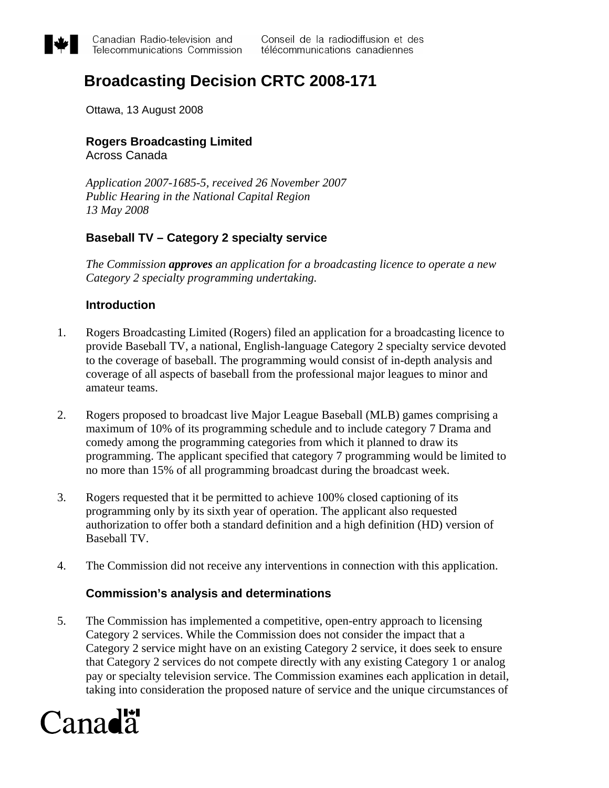

# **Broadcasting Decision CRTC 2008-171**

Ottawa, 13 August 2008

## **Rogers Broadcasting Limited**

Across Canada

*Application 2007-1685-5, received 26 November 2007 Public Hearing in the National Capital Region 13 May 2008* 

## **Baseball TV – Category 2 specialty service**

*The Commission approves an application for a broadcasting licence to operate a new Category 2 specialty programming undertaking.* 

## **Introduction**

- 1. Rogers Broadcasting Limited (Rogers) filed an application for a broadcasting licence to provide Baseball TV, a national, English-language Category 2 specialty service devoted to the coverage of baseball. The programming would consist of in-depth analysis and coverage of all aspects of baseball from the professional major leagues to minor and amateur teams.
- 2. Rogers proposed to broadcast live Major League Baseball (MLB) games comprising a maximum of 10% of its programming schedule and to include category 7 Drama and comedy among the programming categories from which it planned to draw its programming. The applicant specified that category 7 programming would be limited to no more than 15% of all programming broadcast during the broadcast week.
- 3. Rogers requested that it be permitted to achieve 100% closed captioning of its programming only by its sixth year of operation. The applicant also requested authorization to offer both a standard definition and a high definition (HD) version of Baseball TV.
- 4. The Commission did not receive any interventions in connection with this application.

## **Commission's analysis and determinations**

5. The Commission has implemented a competitive, open-entry approach to licensing Category 2 services. While the Commission does not consider the impact that a Category 2 service might have on an existing Category 2 service, it does seek to ensure that Category 2 services do not compete directly with any existing Category 1 or analog pay or specialty television service. The Commission examines each application in detail, taking into consideration the proposed nature of service and the unique circumstances of

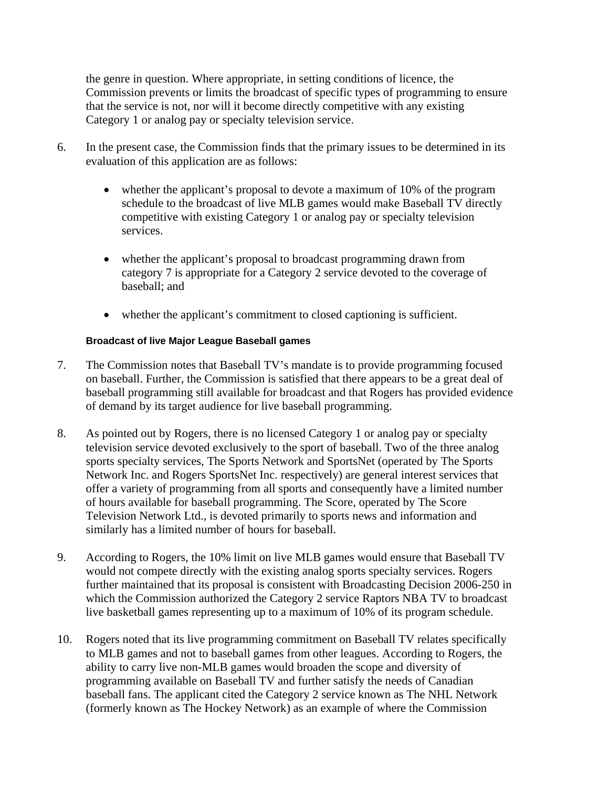the genre in question. Where appropriate, in setting conditions of licence, the Commission prevents or limits the broadcast of specific types of programming to ensure that the service is not, nor will it become directly competitive with any existing Category 1 or analog pay or specialty television service.

- 6. In the present case, the Commission finds that the primary issues to be determined in its evaluation of this application are as follows:
	- whether the applicant's proposal to devote a maximum of 10% of the program schedule to the broadcast of live MLB games would make Baseball TV directly competitive with existing Category 1 or analog pay or specialty television services.
	- whether the applicant's proposal to broadcast programming drawn from category 7 is appropriate for a Category 2 service devoted to the coverage of baseball; and
	- whether the applicant's commitment to closed captioning is sufficient.

#### **Broadcast of live Major League Baseball games**

- 7. The Commission notes that Baseball TV's mandate is to provide programming focused on baseball. Further, the Commission is satisfied that there appears to be a great deal of baseball programming still available for broadcast and that Rogers has provided evidence of demand by its target audience for live baseball programming.
- 8. As pointed out by Rogers, there is no licensed Category 1 or analog pay or specialty television service devoted exclusively to the sport of baseball. Two of the three analog sports specialty services, The Sports Network and SportsNet (operated by The Sports Network Inc. and Rogers SportsNet Inc. respectively) are general interest services that offer a variety of programming from all sports and consequently have a limited number of hours available for baseball programming. The Score, operated by The Score Television Network Ltd., is devoted primarily to sports news and information and similarly has a limited number of hours for baseball.
- 9. According to Rogers, the 10% limit on live MLB games would ensure that Baseball TV would not compete directly with the existing analog sports specialty services. Rogers further maintained that its proposal is consistent with Broadcasting Decision 2006-250 in which the Commission authorized the Category 2 service Raptors NBA TV to broadcast live basketball games representing up to a maximum of 10% of its program schedule.
- 10. Rogers noted that its live programming commitment on Baseball TV relates specifically to MLB games and not to baseball games from other leagues. According to Rogers, the ability to carry live non-MLB games would broaden the scope and diversity of programming available on Baseball TV and further satisfy the needs of Canadian baseball fans. The applicant cited the Category 2 service known as The NHL Network (formerly known as The Hockey Network) as an example of where the Commission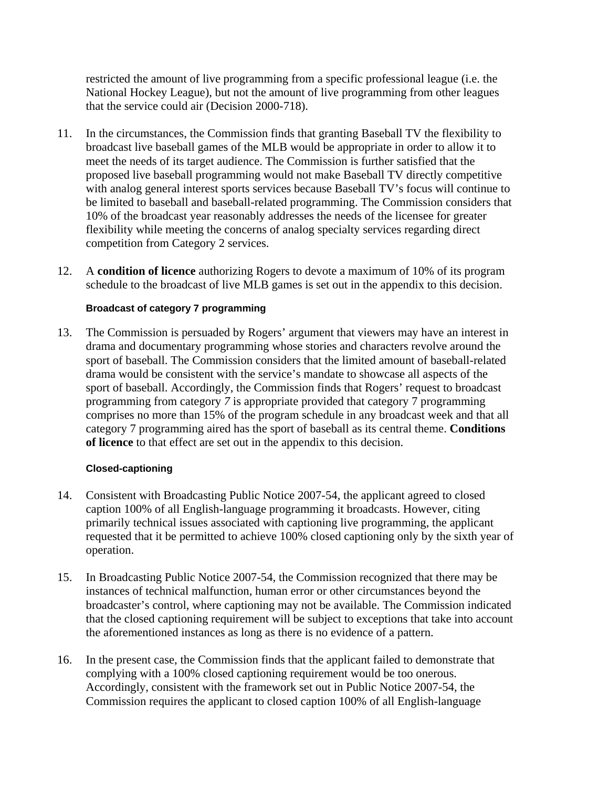restricted the amount of live programming from a specific professional league (i.e. the National Hockey League), but not the amount of live programming from other leagues that the service could air (Decision 2000-718).

- 11. In the circumstances, the Commission finds that granting Baseball TV the flexibility to broadcast live baseball games of the MLB would be appropriate in order to allow it to meet the needs of its target audience. The Commission is further satisfied that the proposed live baseball programming would not make Baseball TV directly competitive with analog general interest sports services because Baseball TV's focus will continue to be limited to baseball and baseball-related programming. The Commission considers that 10% of the broadcast year reasonably addresses the needs of the licensee for greater flexibility while meeting the concerns of analog specialty services regarding direct competition from Category 2 services.
- 12. A **condition of licence** authorizing Rogers to devote a maximum of 10% of its program schedule to the broadcast of live MLB games is set out in the appendix to this decision.

#### **Broadcast of category 7 programming**

13. The Commission is persuaded by Rogers' argument that viewers may have an interest in drama and documentary programming whose stories and characters revolve around the sport of baseball. The Commission considers that the limited amount of baseball-related drama would be consistent with the service's mandate to showcase all aspects of the sport of baseball. Accordingly, the Commission finds that Rogers' request to broadcast programming from category *7* is appropriate provided that category 7 programming comprises no more than 15% of the program schedule in any broadcast week and that all category 7 programming aired has the sport of baseball as its central theme. **Conditions of licence** to that effect are set out in the appendix to this decision.

#### **Closed-captioning**

- 14. Consistent with Broadcasting Public Notice 2007-54, the applicant agreed to closed caption 100% of all English-language programming it broadcasts. However, citing primarily technical issues associated with captioning live programming, the applicant requested that it be permitted to achieve 100% closed captioning only by the sixth year of operation.
- 15. In Broadcasting Public Notice 2007-54, the Commission recognized that there may be instances of technical malfunction, human error or other circumstances beyond the broadcaster's control, where captioning may not be available. The Commission indicated that the closed captioning requirement will be subject to exceptions that take into account the aforementioned instances as long as there is no evidence of a pattern.
- 16. In the present case, the Commission finds that the applicant failed to demonstrate that complying with a 100% closed captioning requirement would be too onerous. Accordingly, consistent with the framework set out in Public Notice 2007-54, the Commission requires the applicant to closed caption 100% of all English-language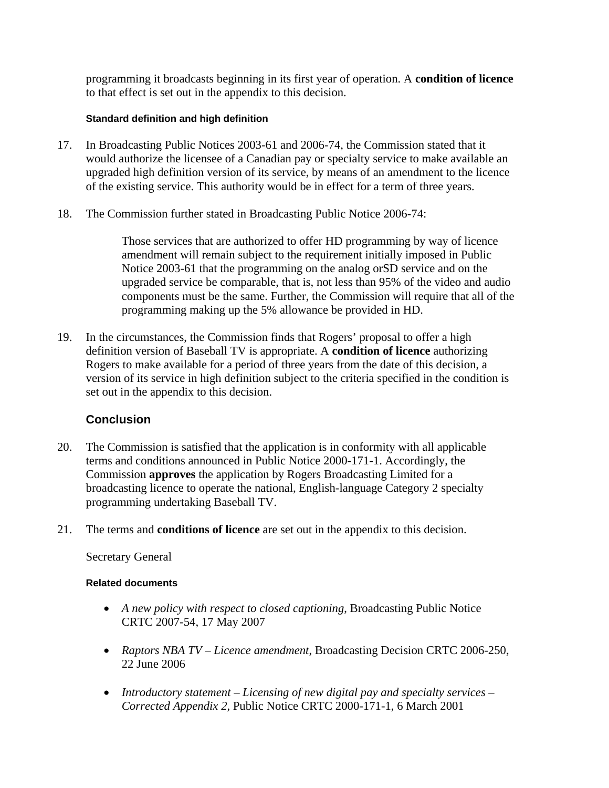programming it broadcasts beginning in its first year of operation. A **condition of licence** to that effect is set out in the appendix to this decision.

#### **Standard definition and high definition**

- 17. In Broadcasting Public Notices [2003-61](http://www.crtc.gc.ca/archive/ENG/Notices/2003/pb2003-61.htm) and [2006-74](http://www.crtc.gc.ca/archive/ENG/Notices/2006/pb2006-74.htm), the Commission stated that it would authorize the licensee of a Canadian pay or specialty service to make available an upgraded high definition version of its service, by means of an amendment to the licence of the existing service. This authority would be in effect for a term of three years.
- 18. The Commission further stated in Broadcasting Public Notice [2006-74:](http://www.crtc.gc.ca/archive/ENG/Notices/2006/pb2006-74.htm)

Those services that are authorized to offer HD programming by way of licence amendment will remain subject to the requirement initially imposed in Public Notice [2003-61](http://www.crtc.gc.ca/archive/ENG/Notices/2003/pb2003-61.htm) that the programming on the analog orSD service and on the upgraded service be comparable, that is, not less than 95% of the video and audio components must be the same. Further, the Commission will require that all of the programming making up the 5% allowance be provided in HD.

19. In the circumstances, the Commission finds that Rogers' proposal to offer a high definition version of Baseball TV is appropriate. A **condition of licence** authorizing Rogers to make available for a period of three years from the date of this decision, a version of its service in high definition subject to the criteria specified in the condition is set out in the appendix to this decision.

## **Conclusion**

- 20. The Commission is satisfied that the application is in conformity with all applicable terms and conditions announced in Public Notice 2000-171-1. Accordingly, the Commission **approves** the application by Rogers Broadcasting Limited for a broadcasting licence to operate the national, English-language Category 2 specialty programming undertaking Baseball TV.
- 21. The terms and **conditions of licence** are set out in the appendix to this decision.

Secretary General

#### **Related documents**

- *A new policy with respect to closed captioning*, Broadcasting Public Notice CRTC 2007-54, 17 May 2007
- *Raptors NBA TV Licence amendment*, Broadcasting Decision CRTC 2006-250, 22 June 2006
- *Introductory statement Licensing of new digital pay and specialty services Corrected Appendix 2*, Public Notice CRTC 2000-171-1, 6 March 2001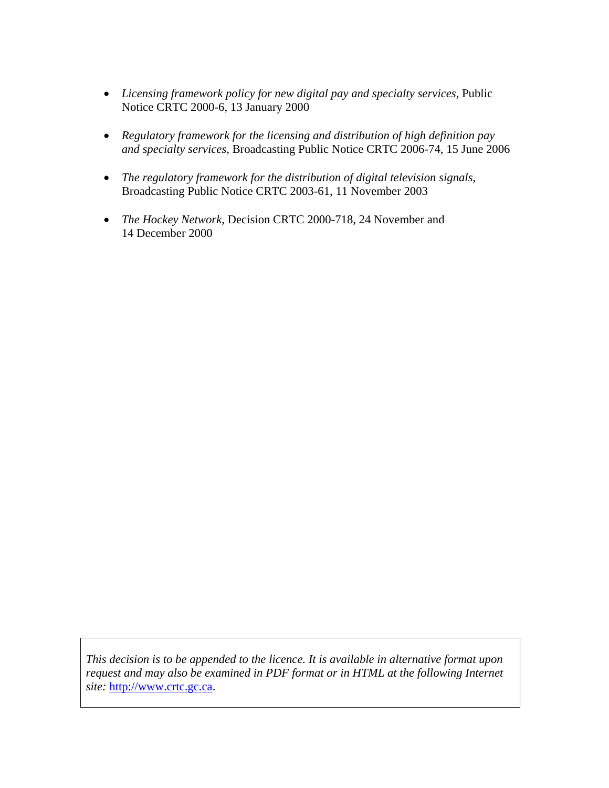- *Licensing framework policy for new digital pay and specialty services*, Public Notice CRTC 2000-6, 13 January 2000
- *Regulatory framework for the licensing and distribution of high definition pay and specialty services*, Broadcasting Public Notice CRTC [2006-74,](http://www.crtc.gc.ca/archive/ENG/Notices/2006/pb2006-74.htm) 15 June 2006
- *The regulatory framework for the distribution of digital television signals,*  Broadcasting Public Notice CRTC [2003-61,](http://www.crtc.gc.ca/archive/ENG/Notices/2003/pb2003-61.htm) 11 November 2003
- *The Hockey Network*, Decision CRTC 2000-718, 24 November and 14 December 2000

*This decision is to be appended to the licence. It is available in alternative format upon request and may also be examined in PDF format or in HTML at the following Internet site:* [http://www.crtc.gc.ca.](http://www.crtc.gc.ca/)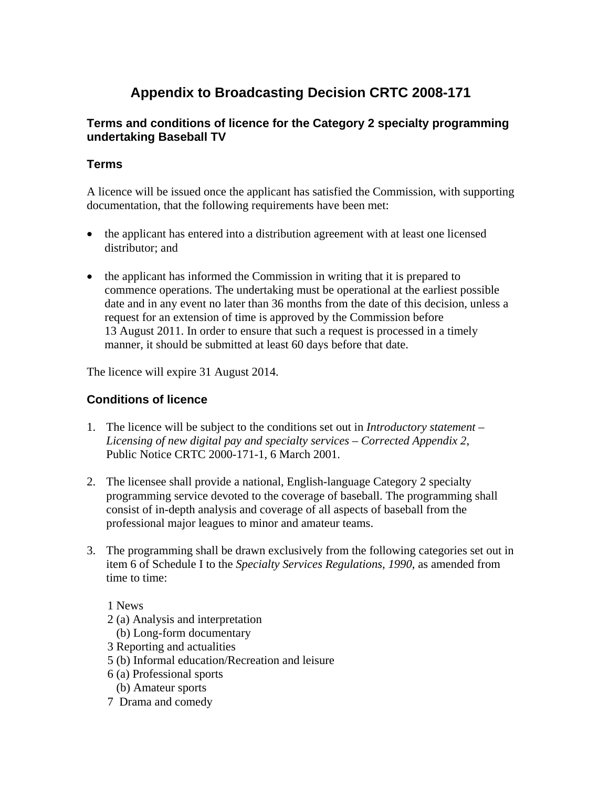## **Appendix to Broadcasting Decision CRTC 2008-171**

## **Terms and conditions of licence for the Category 2 specialty programming undertaking Baseball TV**

## **Terms**

A licence will be issued once the applicant has satisfied the Commission, with supporting documentation, that the following requirements have been met:

- the applicant has entered into a distribution agreement with at least one licensed distributor; and
- the applicant has informed the Commission in writing that it is prepared to commence operations. The undertaking must be operational at the earliest possible date and in any event no later than 36 months from the date of this decision, unless a request for an extension of time is approved by the Commission before 13 August 2011. In order to ensure that such a request is processed in a timely manner, it should be submitted at least 60 days before that date.

The licence will expire 31 August 2014.

## **Conditions of licence**

- 1. The licence will be subject to the conditions set out in *Introductory statement Licensing of new digital pay and specialty services – Corrected Appendix 2*, Public Notice CRTC 2000-171-1, 6 March 2001.
- 2. The licensee shall provide a national, English-language Category 2 specialty programming service devoted to the coverage of baseball. The programming shall consist of in-depth analysis and coverage of all aspects of baseball from the professional major leagues to minor and amateur teams.
- 3. The programming shall be drawn exclusively from the following categories set out in item 6 of Schedule I to the *Specialty Services Regulations, 1990*, as amended from time to time:

1 News

- 2 (a) Analysis and interpretation
- (b) Long-form documentary
- 3 Reporting and actualities
- 5 (b) Informal education/Recreation and leisure
- 6 (a) Professional sports
	- (b) Amateur sports
- 7 Drama and comedy